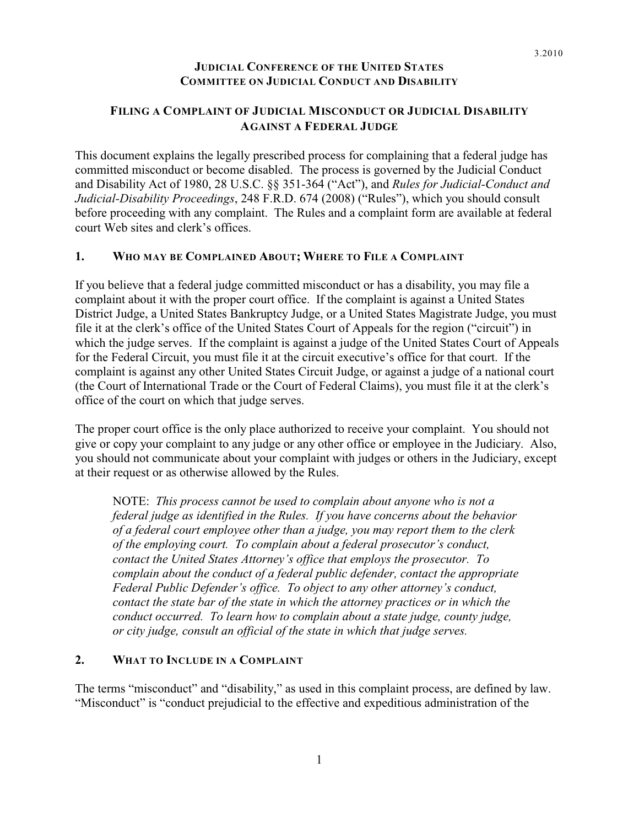## **JUDICIAL CONFERENCE OF THE UNITED STATES COMMITTEE ON JUDICIAL CONDUCT AND DISABILITY**

## **FILING A COMPLAINT OF JUDICIAL MISCONDUCT OR JUDICIAL DISABILITY AGAINST A FEDERAL JUDGE**

This document explains the legally prescribed process for complaining that a federal judge has committed misconduct or become disabled. The process is governed by the Judicial Conduct and Disability Act of 1980, 28 U.S.C. §§ 351-364 ("Act"), and *Rules for Judicial-Conduct and Judicial-Disability Proceedings*, 248 F.R.D. 674 (2008) ("Rules"), which you should consult before proceeding with any complaint. The Rules and a complaint form are available at federal court Web sites and clerk's offices.

### **1. WHO MAY BE COMPLAINED ABOUT; WHERE TO FILE A COMPLAINT**

If you believe that a federal judge committed misconduct or has a disability, you may file a complaint about it with the proper court office. If the complaint is against a United States District Judge, a United States Bankruptcy Judge, or a United States Magistrate Judge, you must file it at the clerk's office of the United States Court of Appeals for the region ("circuit") in which the judge serves. If the complaint is against a judge of the United States Court of Appeals for the Federal Circuit, you must file it at the circuit executive's office for that court. If the complaint is against any other United States Circuit Judge, or against a judge of a national court (the Court of International Trade or the Court of Federal Claims), you must file it at the clerk's office of the court on which that judge serves.

The proper court office is the only place authorized to receive your complaint. You should not give or copy your complaint to any judge or any other office or employee in the Judiciary. Also, you should not communicate about your complaint with judges or others in the Judiciary, except at their request or as otherwise allowed by the Rules.

NOTE: *This process cannot be used to complain about anyone who is not a federal judge as identified in the Rules. If you have concerns about the behavior of a federal court employee other than a judge, you may report them to the clerk of the employing court. To complain about a federal prosecutor's conduct, contact the United States Attorney's office that employs the prosecutor. To complain about the conduct of a federal public defender, contact the appropriate Federal Public Defender's office. To object to any other attorney's conduct, contact the state bar of the state in which the attorney practices or in which the conduct occurred. To learn how to complain about a state judge, county judge, or city judge, consult an official of the state in which that judge serves.* 

#### **2. WHAT TO INCLUDE IN A COMPLAINT**

The terms "misconduct" and "disability," as used in this complaint process, are defined by law. "Misconduct" is "conduct prejudicial to the effective and expeditious administration of the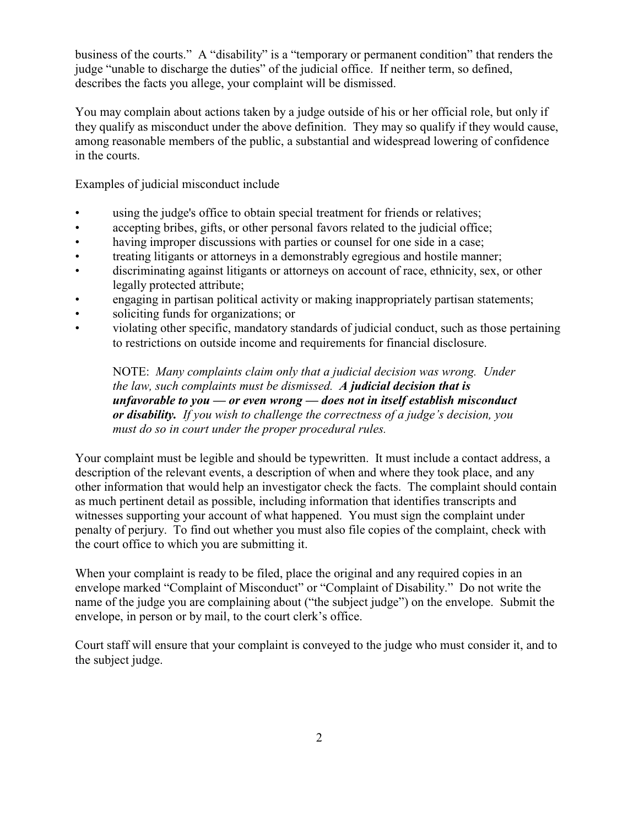business of the courts." A "disability" is a "temporary or permanent condition" that renders the judge "unable to discharge the duties" of the judicial office. If neither term, so defined, describes the facts you allege, your complaint will be dismissed.

You may complain about actions taken by a judge outside of his or her official role, but only if they qualify as misconduct under the above definition. They may so qualify if they would cause, among reasonable members of the public, a substantial and widespread lowering of confidence in the courts.

Examples of judicial misconduct include

- using the judge's office to obtain special treatment for friends or relatives;
- accepting bribes, gifts, or other personal favors related to the judicial office;
- having improper discussions with parties or counsel for one side in a case;
- treating litigants or attorneys in a demonstrably egregious and hostile manner;
- discriminating against litigants or attorneys on account of race, ethnicity, sex, or other legally protected attribute;
- engaging in partisan political activity or making inappropriately partisan statements;
- soliciting funds for organizations; or
- violating other specific, mandatory standards of judicial conduct, such as those pertaining to restrictions on outside income and requirements for financial disclosure.

NOTE: *Many complaints claim only that a judicial decision was wrong. Under the law, such complaints must be dismissed. A judicial decision that is unfavorable to you — or even wrong — does not in itself establish misconduct or disability. If you wish to challenge the correctness of a judge's decision, you must do so in court under the proper procedural rules.*

Your complaint must be legible and should be typewritten. It must include a contact address, a description of the relevant events, a description of when and where they took place, and any other information that would help an investigator check the facts. The complaint should contain as much pertinent detail as possible, including information that identifies transcripts and witnesses supporting your account of what happened. You must sign the complaint under penalty of perjury. To find out whether you must also file copies of the complaint, check with the court office to which you are submitting it.

When your complaint is ready to be filed, place the original and any required copies in an envelope marked "Complaint of Misconduct" or "Complaint of Disability." Do not write the name of the judge you are complaining about ("the subject judge") on the envelope. Submit the envelope, in person or by mail, to the court clerk's office.

Court staff will ensure that your complaint is conveyed to the judge who must consider it, and to the subject judge.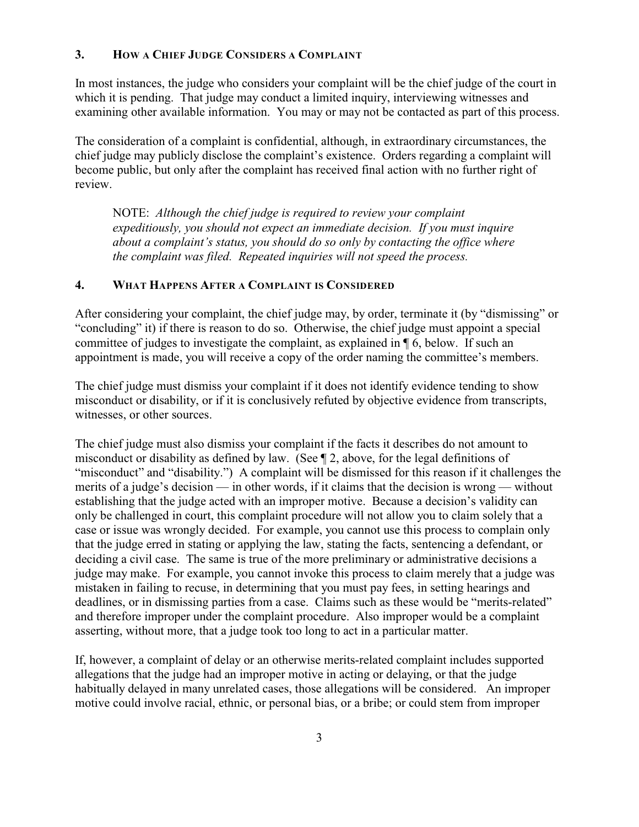### **3. HOW A CHIEF JUDGE CONSIDERS A COMPLAINT**

In most instances, the judge who considers your complaint will be the chief judge of the court in which it is pending. That judge may conduct a limited inquiry, interviewing witnesses and examining other available information. You may or may not be contacted as part of this process.

The consideration of a complaint is confidential, although, in extraordinary circumstances, the chief judge may publicly disclose the complaint's existence. Orders regarding a complaint will become public, but only after the complaint has received final action with no further right of review.

NOTE: *Although the chief judge is required to review your complaint expeditiously, you should not expect an immediate decision. If you must inquire about a complaint's status, you should do so only by contacting the office where the complaint was filed. Repeated inquiries will not speed the process.* 

### **4. WHAT HAPPENS AFTER A COMPLAINT IS CONSIDERED**

After considering your complaint, the chief judge may, by order, terminate it (by "dismissing" or "concluding" it) if there is reason to do so. Otherwise, the chief judge must appoint a special committee of judges to investigate the complaint, as explained in ¶ 6, below. If such an appointment is made, you will receive a copy of the order naming the committee's members.

The chief judge must dismiss your complaint if it does not identify evidence tending to show misconduct or disability, or if it is conclusively refuted by objective evidence from transcripts, witnesses, or other sources.

The chief judge must also dismiss your complaint if the facts it describes do not amount to misconduct or disability as defined by law. (See ¶ 2, above, for the legal definitions of "misconduct" and "disability.") A complaint will be dismissed for this reason if it challenges the merits of a judge's decision — in other words, if it claims that the decision is wrong — without establishing that the judge acted with an improper motive. Because a decision's validity can only be challenged in court, this complaint procedure will not allow you to claim solely that a case or issue was wrongly decided. For example, you cannot use this process to complain only that the judge erred in stating or applying the law, stating the facts, sentencing a defendant, or deciding a civil case. The same is true of the more preliminary or administrative decisions a judge may make. For example, you cannot invoke this process to claim merely that a judge was mistaken in failing to recuse, in determining that you must pay fees, in setting hearings and deadlines, or in dismissing parties from a case. Claims such as these would be "merits-related" and therefore improper under the complaint procedure. Also improper would be a complaint asserting, without more, that a judge took too long to act in a particular matter.

If, however, a complaint of delay or an otherwise merits-related complaint includes supported allegations that the judge had an improper motive in acting or delaying, or that the judge habitually delayed in many unrelated cases, those allegations will be considered. An improper motive could involve racial, ethnic, or personal bias, or a bribe; or could stem from improper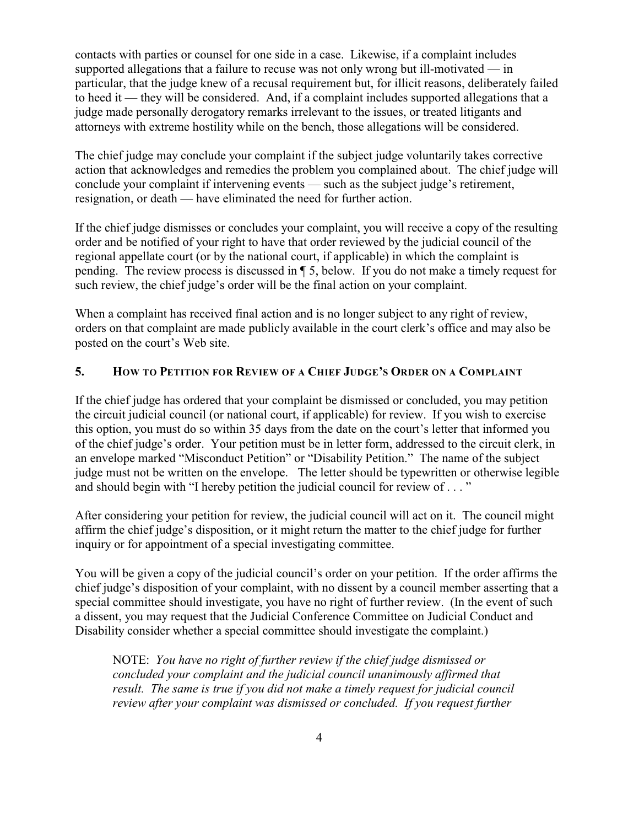contacts with parties or counsel for one side in a case. Likewise, if a complaint includes supported allegations that a failure to recuse was not only wrong but ill-motivated — in particular, that the judge knew of a recusal requirement but, for illicit reasons, deliberately failed to heed it — they will be considered. And, if a complaint includes supported allegations that a judge made personally derogatory remarks irrelevant to the issues, or treated litigants and attorneys with extreme hostility while on the bench, those allegations will be considered.

The chief judge may conclude your complaint if the subject judge voluntarily takes corrective action that acknowledges and remedies the problem you complained about. The chief judge will conclude your complaint if intervening events — such as the subject judge's retirement, resignation, or death — have eliminated the need for further action.

If the chief judge dismisses or concludes your complaint, you will receive a copy of the resulting order and be notified of your right to have that order reviewed by the judicial council of the regional appellate court (or by the national court, if applicable) in which the complaint is pending. The review process is discussed in ¶ 5, below. If you do not make a timely request for such review, the chief judge's order will be the final action on your complaint.

When a complaint has received final action and is no longer subject to any right of review, orders on that complaint are made publicly available in the court clerk's office and may also be posted on the court's Web site.

# **5. HOW TO PETITION FOR REVIEW OF A CHIEF JUDGE'S ORDER ON A COMPLAINT**

If the chief judge has ordered that your complaint be dismissed or concluded, you may petition the circuit judicial council (or national court, if applicable) for review. If you wish to exercise this option, you must do so within 35 days from the date on the court's letter that informed you of the chief judge's order. Your petition must be in letter form, addressed to the circuit clerk, in an envelope marked "Misconduct Petition" or "Disability Petition." The name of the subject judge must not be written on the envelope. The letter should be typewritten or otherwise legible and should begin with "I hereby petition the judicial council for review of . . . "

After considering your petition for review, the judicial council will act on it. The council might affirm the chief judge's disposition, or it might return the matter to the chief judge for further inquiry or for appointment of a special investigating committee.

You will be given a copy of the judicial council's order on your petition. If the order affirms the chief judge's disposition of your complaint, with no dissent by a council member asserting that a special committee should investigate, you have no right of further review. (In the event of such a dissent, you may request that the Judicial Conference Committee on Judicial Conduct and Disability consider whether a special committee should investigate the complaint.)

NOTE: *You have no right of further review if the chief judge dismissed or concluded your complaint and the judicial council unanimously affirmed that result. The same is true if you did not make a timely request for judicial council review after your complaint was dismissed or concluded. If you request further*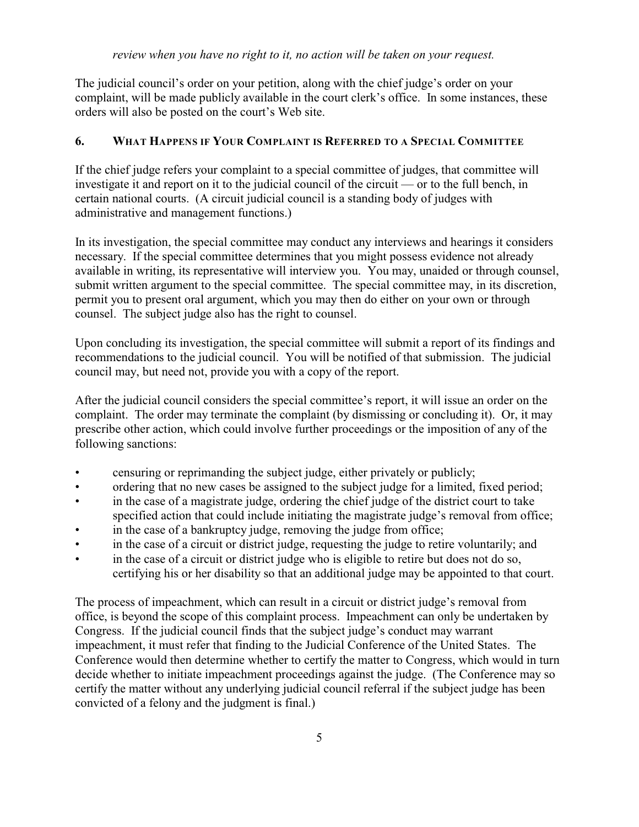The judicial council's order on your petition, along with the chief judge's order on your complaint, will be made publicly available in the court clerk's office. In some instances, these orders will also be posted on the court's Web site.

#### **6. WHAT HAPPENS IF YOUR COMPLAINT IS REFERRED TO A SPECIAL COMMITTEE**

If the chief judge refers your complaint to a special committee of judges, that committee will investigate it and report on it to the judicial council of the circuit — or to the full bench, in certain national courts. (A circuit judicial council is a standing body of judges with administrative and management functions.)

In its investigation, the special committee may conduct any interviews and hearings it considers necessary. If the special committee determines that you might possess evidence not already available in writing, its representative will interview you. You may, unaided or through counsel, submit written argument to the special committee. The special committee may, in its discretion, permit you to present oral argument, which you may then do either on your own or through counsel. The subject judge also has the right to counsel.

Upon concluding its investigation, the special committee will submit a report of its findings and recommendations to the judicial council. You will be notified of that submission. The judicial council may, but need not, provide you with a copy of the report.

After the judicial council considers the special committee's report, it will issue an order on the complaint. The order may terminate the complaint (by dismissing or concluding it). Or, it may prescribe other action, which could involve further proceedings or the imposition of any of the following sanctions:

- censuring or reprimanding the subject judge, either privately or publicly;
- ordering that no new cases be assigned to the subject judge for a limited, fixed period;
- in the case of a magistrate judge, ordering the chief judge of the district court to take specified action that could include initiating the magistrate judge's removal from office;
- in the case of a bankruptcy judge, removing the judge from office;
- in the case of a circuit or district judge, requesting the judge to retire voluntarily; and
- in the case of a circuit or district judge who is eligible to retire but does not do so, certifying his or her disability so that an additional judge may be appointed to that court.

The process of impeachment, which can result in a circuit or district judge's removal from office, is beyond the scope of this complaint process. Impeachment can only be undertaken by Congress. If the judicial council finds that the subject judge's conduct may warrant impeachment, it must refer that finding to the Judicial Conference of the United States. The Conference would then determine whether to certify the matter to Congress, which would in turn decide whether to initiate impeachment proceedings against the judge. (The Conference may so certify the matter without any underlying judicial council referral if the subject judge has been convicted of a felony and the judgment is final.)